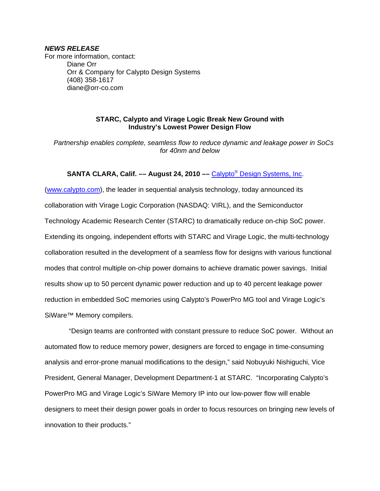### *NEWS RELEASE*

For more information, contact: Diane Orr Orr & Company for Calypto Design Systems (408) 358-1617 diane@orr-co.com

# **STARC, Calypto and Virage Logic Break New Ground with Industry's Lowest Power Design Flow**

 *Partnership enables complete, seamless flow to reduce dynamic and leakage power in SoCs for 40nm and below* 

# SANTA CLARA, Calif. — August 24, 2010 — Calypto<sup>®</sup> Design Systems, Inc.

(www.calypto.com), the leader in sequential analysis technology, today announced its collaboration with Virage Logic Corporation (NASDAQ: VIRL), and the Semiconductor Technology Academic Research Center (STARC) to dramatically reduce on-chip SoC power. Extending its ongoing, independent efforts with STARC and Virage Logic, the multi-technology collaboration resulted in the development of a seamless flow for designs with various functional modes that control multiple on-chip power domains to achieve dramatic power savings. Initial results show up to 50 percent dynamic power reduction and up to 40 percent leakage power reduction in embedded SoC memories using Calypto's PowerPro MG tool and Virage Logic's SiWare™ Memory compilers.

 "Design teams are confronted with constant pressure to reduce SoC power. Without an automated flow to reduce memory power, designers are forced to engage in time-consuming analysis and error-prone manual modifications to the design," said Nobuyuki Nishiguchi, Vice President, General Manager, Development Department-1 at STARC. "Incorporating Calypto's PowerPro MG and Virage Logic's SiWare Memory IP into our low-power flow will enable designers to meet their design power goals in order to focus resources on bringing new levels of innovation to their products."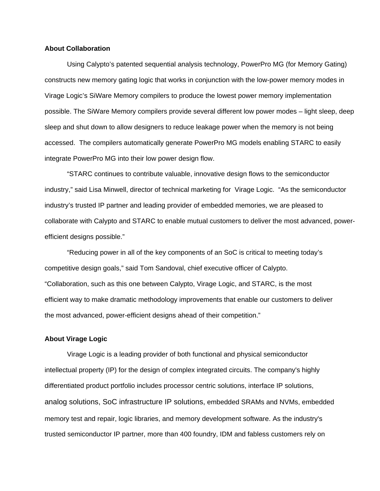### **About Collaboration**

Using Calypto's patented sequential analysis technology, PowerPro MG (for Memory Gating) constructs new memory gating logic that works in conjunction with the low-power memory modes in Virage Logic's SiWare Memory compilers to produce the lowest power memory implementation possible. The SiWare Memory compilers provide several different low power modes – light sleep, deep sleep and shut down to allow designers to reduce leakage power when the memory is not being accessed. The compilers automatically generate PowerPro MG models enabling STARC to easily integrate PowerPro MG into their low power design flow.

"STARC continues to contribute valuable, innovative design flows to the semiconductor industry," said Lisa Minwell, director of technical marketing for Virage Logic. "As the semiconductor industry's trusted IP partner and leading provider of embedded memories, we are pleased to collaborate with Calypto and STARC to enable mutual customers to deliver the most advanced, powerefficient designs possible."

"Reducing power in all of the key components of an SoC is critical to meeting today's competitive design goals," said Tom Sandoval, chief executive officer of Calypto. "Collaboration, such as this one between Calypto, Virage Logic, and STARC, is the most efficient way to make dramatic methodology improvements that enable our customers to deliver the most advanced, power-efficient designs ahead of their competition."

#### **About Virage Logic**

Virage Logic is a leading provider of both functional and physical semiconductor intellectual property (IP) for the design of complex integrated circuits. The company's highly differentiated product portfolio includes processor centric solutions, interface IP solutions, analog solutions, SoC infrastructure IP solutions, embedded SRAMs and NVMs, embedded memory test and repair, logic libraries, and memory development software. As the industry's trusted semiconductor IP partner, more than 400 foundry, IDM and fabless customers rely on